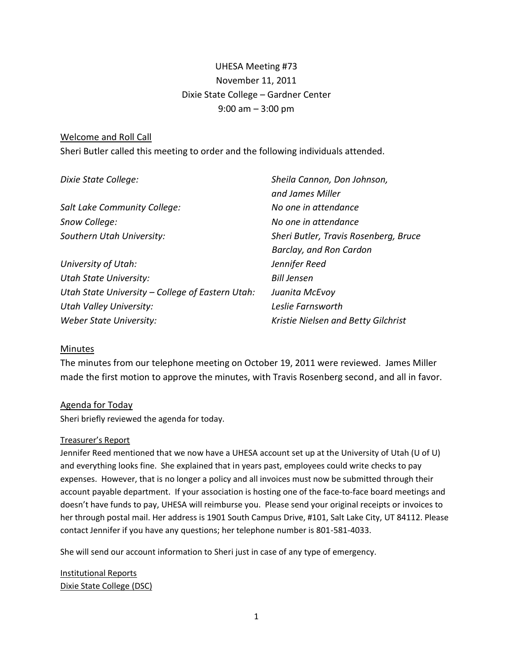# UHESA Meeting #73 November 11, 2011 Dixie State College – Gardner Center 9:00 am – 3:00 pm

## Welcome and Roll Call

Sheri Butler called this meeting to order and the following individuals attended.

| Dixie State College:                             | Sheila Cannon, Don Johnson,           |
|--------------------------------------------------|---------------------------------------|
|                                                  | and James Miller                      |
| Salt Lake Community College:                     | No one in attendance                  |
| Snow College:                                    | No one in attendance                  |
| Southern Utah University:                        | Sheri Butler, Travis Rosenberg, Bruce |
|                                                  | Barclay, and Ron Cardon               |
| University of Utah:                              | Jennifer Reed                         |
| <b>Utah State University:</b>                    | <b>Bill Jensen</b>                    |
| Utah State University – College of Eastern Utah: | Juanita McEvoy                        |
| <b>Utah Valley University:</b>                   | Leslie Farnsworth                     |
| Weber State University:                          | Kristie Nielsen and Betty Gilchrist   |

## **Minutes**

The minutes from our telephone meeting on October 19, 2011 were reviewed. James Miller made the first motion to approve the minutes, with Travis Rosenberg second, and all in favor.

## Agenda for Today

Sheri briefly reviewed the agenda for today.

#### Treasurer's Report

Jennifer Reed mentioned that we now have a UHESA account set up at the University of Utah (U of U) and everything looks fine. She explained that in years past, employees could write checks to pay expenses. However, that is no longer a policy and all invoices must now be submitted through their account payable department. If your association is hosting one of the face-to-face board meetings and doesn't have funds to pay, UHESA will reimburse you. Please send your original receipts or invoices to her through postal mail. Her address is 1901 South Campus Drive, #101, Salt Lake City, UT 84112. Please contact Jennifer if you have any questions; her telephone number is 801-581-4033.

She will send our account information to Sheri just in case of any type of emergency.

Institutional Reports Dixie State College (DSC)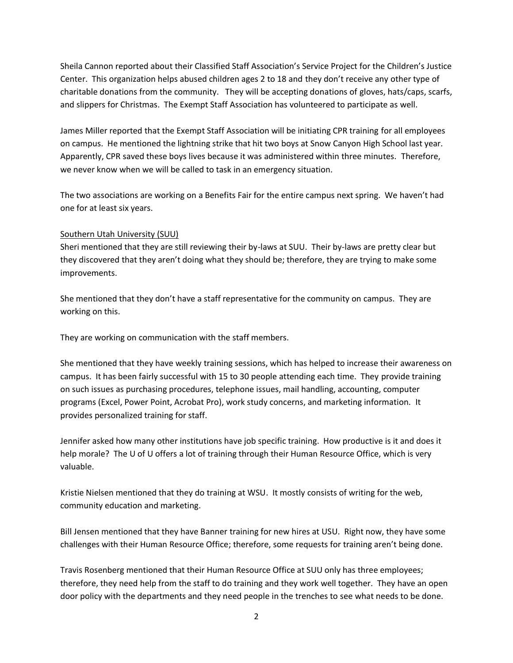Sheila Cannon reported about their Classified Staff Association's Service Project for the Children's Justice Center. This organization helps abused children ages 2 to 18 and they don't receive any other type of charitable donations from the community. They will be accepting donations of gloves, hats/caps, scarfs, and slippers for Christmas. The Exempt Staff Association has volunteered to participate as well.

James Miller reported that the Exempt Staff Association will be initiating CPR training for all employees on campus. He mentioned the lightning strike that hit two boys at Snow Canyon High School last year. Apparently, CPR saved these boys lives because it was administered within three minutes. Therefore, we never know when we will be called to task in an emergency situation.

The two associations are working on a Benefits Fair for the entire campus next spring. We haven't had one for at least six years.

## Southern Utah University (SUU)

Sheri mentioned that they are still reviewing their by-laws at SUU. Their by-laws are pretty clear but they discovered that they aren't doing what they should be; therefore, they are trying to make some improvements.

She mentioned that they don't have a staff representative for the community on campus. They are working on this.

They are working on communication with the staff members.

She mentioned that they have weekly training sessions, which has helped to increase their awareness on campus. It has been fairly successful with 15 to 30 people attending each time. They provide training on such issues as purchasing procedures, telephone issues, mail handling, accounting, computer programs (Excel, Power Point, Acrobat Pro), work study concerns, and marketing information. It provides personalized training for staff.

Jennifer asked how many other institutions have job specific training. How productive is it and does it help morale? The U of U offers a lot of training through their Human Resource Office, which is very valuable.

Kristie Nielsen mentioned that they do training at WSU. It mostly consists of writing for the web, community education and marketing.

Bill Jensen mentioned that they have Banner training for new hires at USU. Right now, they have some challenges with their Human Resource Office; therefore, some requests for training aren't being done.

Travis Rosenberg mentioned that their Human Resource Office at SUU only has three employees; therefore, they need help from the staff to do training and they work well together. They have an open door policy with the departments and they need people in the trenches to see what needs to be done.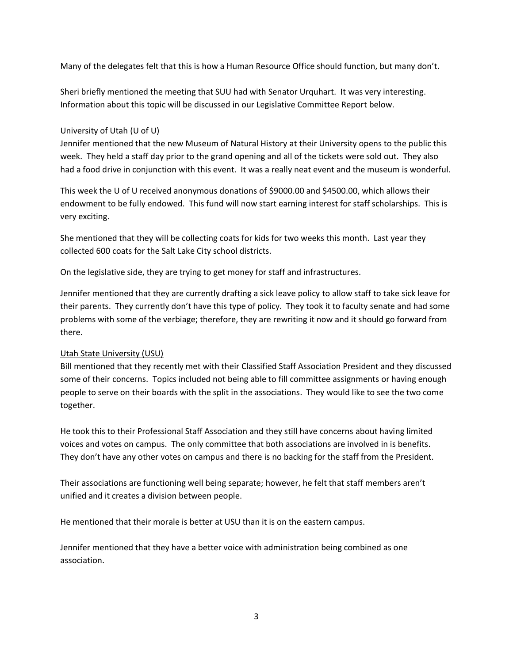Many of the delegates felt that this is how a Human Resource Office should function, but many don't.

Sheri briefly mentioned the meeting that SUU had with Senator Urquhart. It was very interesting. Information about this topic will be discussed in our Legislative Committee Report below.

# University of Utah (U of U)

Jennifer mentioned that the new Museum of Natural History at their University opens to the public this week. They held a staff day prior to the grand opening and all of the tickets were sold out. They also had a food drive in conjunction with this event. It was a really neat event and the museum is wonderful.

This week the U of U received anonymous donations of \$9000.00 and \$4500.00, which allows their endowment to be fully endowed. This fund will now start earning interest for staff scholarships. This is very exciting.

She mentioned that they will be collecting coats for kids for two weeks this month. Last year they collected 600 coats for the Salt Lake City school districts.

On the legislative side, they are trying to get money for staff and infrastructures.

Jennifer mentioned that they are currently drafting a sick leave policy to allow staff to take sick leave for their parents. They currently don't have this type of policy. They took it to faculty senate and had some problems with some of the verbiage; therefore, they are rewriting it now and it should go forward from there.

# Utah State University (USU)

Bill mentioned that they recently met with their Classified Staff Association President and they discussed some of their concerns. Topics included not being able to fill committee assignments or having enough people to serve on their boards with the split in the associations. They would like to see the two come together.

He took this to their Professional Staff Association and they still have concerns about having limited voices and votes on campus. The only committee that both associations are involved in is benefits. They don't have any other votes on campus and there is no backing for the staff from the President.

Their associations are functioning well being separate; however, he felt that staff members aren't unified and it creates a division between people.

He mentioned that their morale is better at USU than it is on the eastern campus.

Jennifer mentioned that they have a better voice with administration being combined as one association.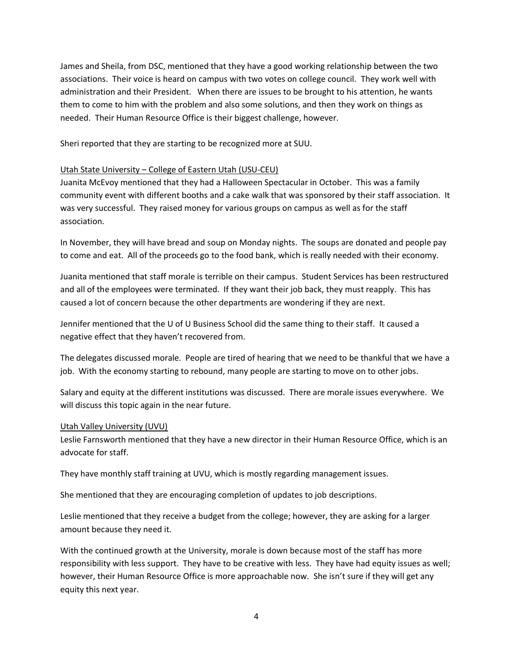James and Sheila, from DSC, mentioned that they have a good working relationship between the two associations. Their voice is heard on campus with two votes on college council. They work well with administration and their President. When there are issues to be brought to his attention, he wants them to come to him with the problem and also some solutions, and then they work on things as needed. Their Human Resource Office is their biggest challenge, however.

Sheri reported that they are starting to be recognized more at SUU.

# Utah State University – College of Eastern Utah (USU-CEU)

Juanita McEvoy mentioned that they had a Halloween Spectacular in October. This was a family community event with different booths and a cake walk that was sponsored by their staff association. It was very successful. They raised money for various groups on campus as well as for the staff association.

In November, they will have bread and soup on Monday nights. The soups are donated and people pay to come and eat. All of the proceeds go to the food bank, which is really needed with their economy.

Juanita mentioned that staff morale is terrible on their campus. Student Services has been restructured and all of the employees were terminated. If they want their job back, they must reapply. This has caused a lot of concern because the other departments are wondering if they are next.

Jennifer mentioned that the U of U Business School did the same thing to their staff. It caused a negative effect that they haven't recovered from.

The delegates discussed morale. People are tired of hearing that we need to be thankful that we have a job. With the economy starting to rebound, many people are starting to move on to other jobs.

Salary and equity at the different institutions was discussed. There are morale issues everywhere. We will discuss this topic again in the near future.

## Utah Valley University (UVU)

Leslie Farnsworth mentioned that they have a new director in their Human Resource Office, which is an advocate for staff.

They have monthly staff training at UVU, which is mostly regarding management issues.

She mentioned that they are encouraging completion of updates to job descriptions.

Leslie mentioned that they receive a budget from the college; however, they are asking for a larger amount because they need it.

With the continued growth at the University, morale is down because most of the staff has more responsibility with less support. They have to be creative with less. They have had equity issues as well; however, their Human Resource Office is more approachable now. She isn't sure if they will get any equity this next year.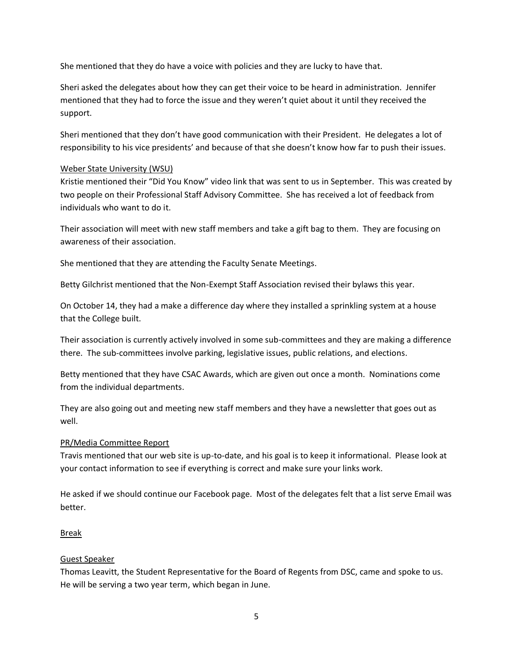She mentioned that they do have a voice with policies and they are lucky to have that.

Sheri asked the delegates about how they can get their voice to be heard in administration. Jennifer mentioned that they had to force the issue and they weren't quiet about it until they received the support.

Sheri mentioned that they don't have good communication with their President. He delegates a lot of responsibility to his vice presidents' and because of that she doesn't know how far to push their issues.

# Weber State University (WSU)

Kristie mentioned their "Did You Know" video link that was sent to us in September. This was created by two people on their Professional Staff Advisory Committee. She has received a lot of feedback from individuals who want to do it.

Their association will meet with new staff members and take a gift bag to them. They are focusing on awareness of their association.

She mentioned that they are attending the Faculty Senate Meetings.

Betty Gilchrist mentioned that the Non-Exempt Staff Association revised their bylaws this year.

On October 14, they had a make a difference day where they installed a sprinkling system at a house that the College built.

Their association is currently actively involved in some sub-committees and they are making a difference there. The sub-committees involve parking, legislative issues, public relations, and elections.

Betty mentioned that they have CSAC Awards, which are given out once a month. Nominations come from the individual departments.

They are also going out and meeting new staff members and they have a newsletter that goes out as well.

## PR/Media Committee Report

Travis mentioned that our web site is up-to-date, and his goal is to keep it informational. Please look at your contact information to see if everything is correct and make sure your links work.

He asked if we should continue our Facebook page. Most of the delegates felt that a list serve Email was better.

## **Break**

# Guest Speaker

Thomas Leavitt, the Student Representative for the Board of Regents from DSC, came and spoke to us. He will be serving a two year term, which began in June.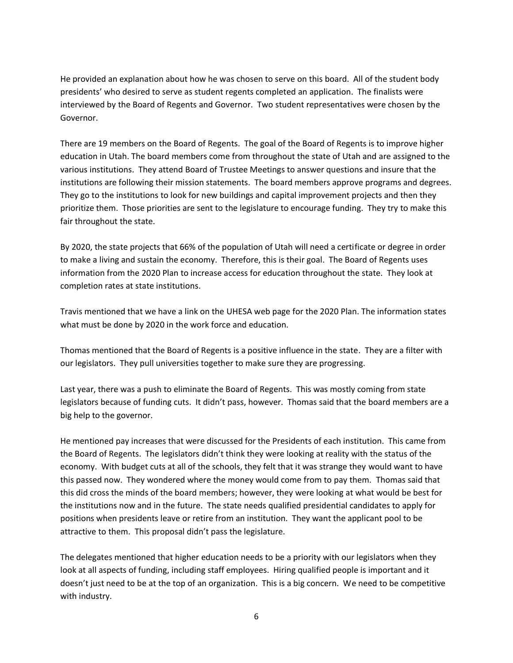He provided an explanation about how he was chosen to serve on this board. All of the student body presidents' who desired to serve as student regents completed an application. The finalists were interviewed by the Board of Regents and Governor. Two student representatives were chosen by the Governor.

There are 19 members on the Board of Regents. The goal of the Board of Regents is to improve higher education in Utah. The board members come from throughout the state of Utah and are assigned to the various institutions. They attend Board of Trustee Meetings to answer questions and insure that the institutions are following their mission statements. The board members approve programs and degrees. They go to the institutions to look for new buildings and capital improvement projects and then they prioritize them. Those priorities are sent to the legislature to encourage funding. They try to make this fair throughout the state.

By 2020, the state projects that 66% of the population of Utah will need a certificate or degree in order to make a living and sustain the economy. Therefore, this is their goal. The Board of Regents uses information from the 2020 Plan to increase access for education throughout the state. They look at completion rates at state institutions.

Travis mentioned that we have a link on the UHESA web page for the 2020 Plan. The information states what must be done by 2020 in the work force and education.

Thomas mentioned that the Board of Regents is a positive influence in the state. They are a filter with our legislators. They pull universities together to make sure they are progressing.

Last year, there was a push to eliminate the Board of Regents. This was mostly coming from state legislators because of funding cuts. It didn't pass, however. Thomas said that the board members are a big help to the governor.

He mentioned pay increases that were discussed for the Presidents of each institution. This came from the Board of Regents. The legislators didn't think they were looking at reality with the status of the economy. With budget cuts at all of the schools, they felt that it was strange they would want to have this passed now. They wondered where the money would come from to pay them. Thomas said that this did cross the minds of the board members; however, they were looking at what would be best for the institutions now and in the future. The state needs qualified presidential candidates to apply for positions when presidents leave or retire from an institution. They want the applicant pool to be attractive to them. This proposal didn't pass the legislature.

The delegates mentioned that higher education needs to be a priority with our legislators when they look at all aspects of funding, including staff employees. Hiring qualified people is important and it doesn't just need to be at the top of an organization. This is a big concern. We need to be competitive with industry.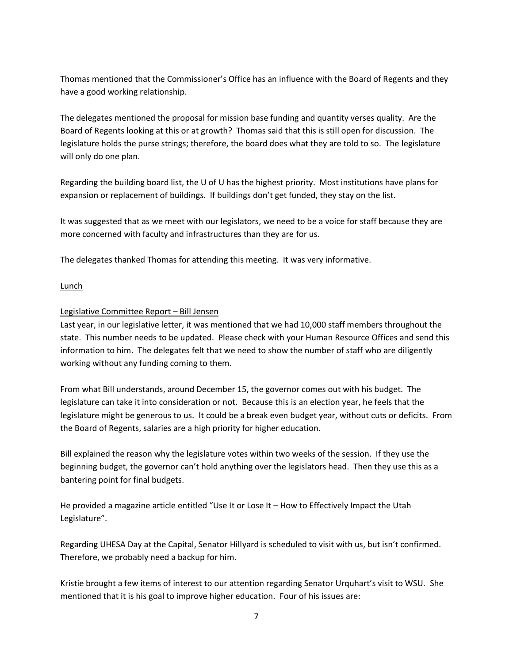Thomas mentioned that the Commissioner's Office has an influence with the Board of Regents and they have a good working relationship.

The delegates mentioned the proposal for mission base funding and quantity verses quality. Are the Board of Regents looking at this or at growth? Thomas said that this is still open for discussion. The legislature holds the purse strings; therefore, the board does what they are told to so. The legislature will only do one plan.

Regarding the building board list, the U of U has the highest priority. Most institutions have plans for expansion or replacement of buildings. If buildings don't get funded, they stay on the list.

It was suggested that as we meet with our legislators, we need to be a voice for staff because they are more concerned with faculty and infrastructures than they are for us.

The delegates thanked Thomas for attending this meeting. It was very informative.

## **Lunch**

#### Legislative Committee Report – Bill Jensen

Last year, in our legislative letter, it was mentioned that we had 10,000 staff members throughout the state. This number needs to be updated. Please check with your Human Resource Offices and send this information to him. The delegates felt that we need to show the number of staff who are diligently working without any funding coming to them.

From what Bill understands, around December 15, the governor comes out with his budget. The legislature can take it into consideration or not. Because this is an election year, he feels that the legislature might be generous to us. It could be a break even budget year, without cuts or deficits. From the Board of Regents, salaries are a high priority for higher education.

Bill explained the reason why the legislature votes within two weeks of the session. If they use the beginning budget, the governor can't hold anything over the legislators head. Then they use this as a bantering point for final budgets.

He provided a magazine article entitled "Use It or Lose It – How to Effectively Impact the Utah Legislature".

Regarding UHESA Day at the Capital, Senator Hillyard is scheduled to visit with us, but isn't confirmed. Therefore, we probably need a backup for him.

Kristie brought a few items of interest to our attention regarding Senator Urquhart's visit to WSU. She mentioned that it is his goal to improve higher education. Four of his issues are: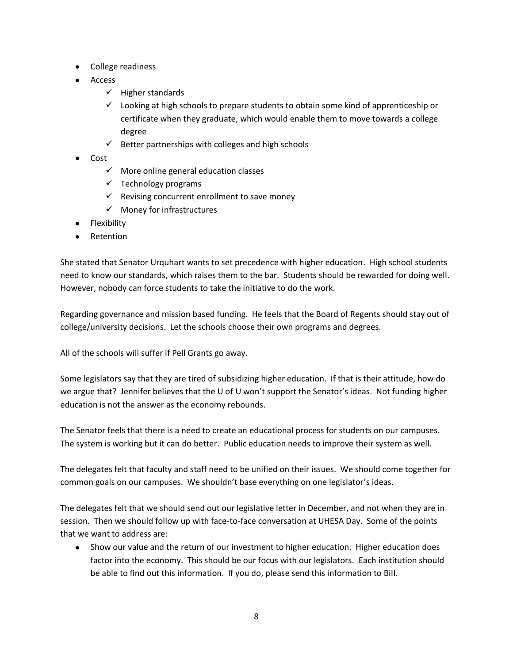- College readiness
- Access
	- $\checkmark$  Higher standards
	- $\checkmark$  Looking at high schools to prepare students to obtain some kind of apprenticeship or certificate when they graduate, which would enable them to move towards a college degree
	- $\checkmark$  Better partnerships with colleges and high schools
- Cost
	- $\checkmark$  More online general education classes
	- $\checkmark$  Technology programs
	- $\checkmark$  Revising concurrent enrollment to save money
	- $\checkmark$  Money for infrastructures
- Flexibility
- Retention

She stated that Senator Urquhart wants to set precedence with higher education. High school students need to know our standards, which raises them to the bar. Students should be rewarded for doing well. However, nobody can force students to take the initiative to do the work.

Regarding governance and mission based funding. He feels that the Board of Regents should stay out of college/university decisions. Let the schools choose their own programs and degrees.

All of the schools will suffer if Pell Grants go away.

Some legislators say that they are tired of subsidizing higher education. If that is their attitude, how do we argue that? Jennifer believes that the U of U won't support the Senator's ideas. Not funding higher education is not the answer as the economy rebounds.

The Senator feels that there is a need to create an educational process for students on our campuses. The system is working but it can do better. Public education needs to improve their system as well.

The delegates felt that faculty and staff need to be unified on their issues. We should come together for common goals on our campuses. We shouldn't base everything on one legislator's ideas.

The delegates felt that we should send out our legislative letter in December, and not when they are in session. Then we should follow up with face-to-face conversation at UHESA Day. Some of the points that we want to address are:

Show our value and the return of our investment to higher education. Higher education does factor into the economy. This should be our focus with our legislators. Each institution should be able to find out this information. If you do, please send this information to Bill.